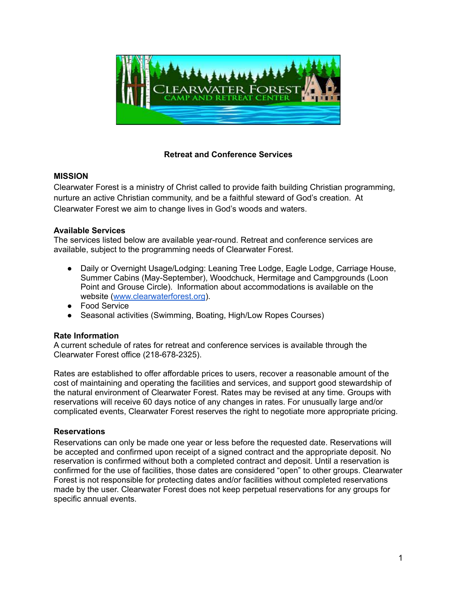

# **Retreat and Conference Services**

## **MISSION**

Clearwater Forest is a ministry of Christ called to provide faith building Christian programming, nurture an active Christian community, and be a faithful steward of God's creation. At Clearwater Forest we aim to change lives in God's woods and waters.

## **Available Services**

The services listed below are available year-round. Retreat and conference services are available, subject to the programming needs of Clearwater Forest.

- Daily or Overnight Usage/Lodging: Leaning Tree Lodge, Eagle Lodge, Carriage House, Summer Cabins (May-September), Woodchuck, Hermitage and Campgrounds (Loon Point and Grouse Circle). Information about accommodations is available on the website ([www.clearwaterforest.org](http://www.clearwatrforest.org)).
- Food Service
- Seasonal activities (Swimming, Boating, High/Low Ropes Courses)

# **Rate Information**

A current schedule of rates for retreat and conference services is available through the Clearwater Forest office (218-678-2325).

Rates are established to offer affordable prices to users, recover a reasonable amount of the cost of maintaining and operating the facilities and services, and support good stewardship of the natural environment of Clearwater Forest. Rates may be revised at any time. Groups with reservations will receive 60 days notice of any changes in rates. For unusually large and/or complicated events, Clearwater Forest reserves the right to negotiate more appropriate pricing.

# **Reservations**

Reservations can only be made one year or less before the requested date. Reservations will be accepted and confirmed upon receipt of a signed contract and the appropriate deposit. No reservation is confirmed without both a completed contract and deposit. Until a reservation is confirmed for the use of facilities, those dates are considered "open" to other groups. Clearwater Forest is not responsible for protecting dates and/or facilities without completed reservations made by the user. Clearwater Forest does not keep perpetual reservations for any groups for specific annual events.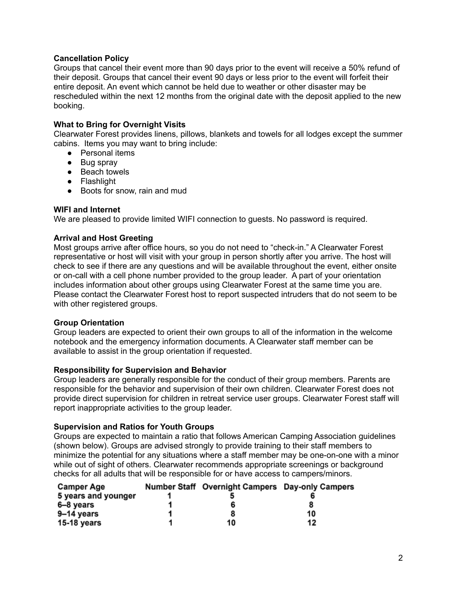## **Cancellation Policy**

Groups that cancel their event more than 90 days prior to the event will receive a 50% refund of their deposit. Groups that cancel their event 90 days or less prior to the event will forfeit their entire deposit. An event which cannot be held due to weather or other disaster may be rescheduled within the next 12 months from the original date with the deposit applied to the new booking.

## **What to Bring for Overnight Visits**

Clearwater Forest provides linens, pillows, blankets and towels for all lodges except the summer cabins. Items you may want to bring include:

- Personal items
- Bug spray
- Beach towels
- Flashlight
- Boots for snow, rain and mud

#### **WIFI and Internet**

We are pleased to provide limited WIFI connection to guests. No password is required.

#### **Arrival and Host Greeting**

Most groups arrive after office hours, so you do not need to "check-in." A Clearwater Forest representative or host will visit with your group in person shortly after you arrive. The host will check to see if there are any questions and will be available throughout the event, either onsite or on-call with a cell phone number provided to the group leader. A part of your orientation includes information about other groups using Clearwater Forest at the same time you are. Please contact the Clearwater Forest host to report suspected intruders that do not seem to be with other registered groups.

#### **Group Orientation**

Group leaders are expected to orient their own groups to all of the information in the welcome notebook and the emergency information documents. A Clearwater staff member can be available to assist in the group orientation if requested.

#### **Responsibility for Supervision and Behavior**

Group leaders are generally responsible for the conduct of their group members. Parents are responsible for the behavior and supervision of their own children. Clearwater Forest does not provide direct supervision for children in retreat service user groups. Clearwater Forest staff will report inappropriate activities to the group leader.

#### **Supervision and Ratios for Youth Groups**

Groups are expected to maintain a ratio that follows American Camping Association guidelines (shown below). Groups are advised strongly to provide training to their staff members to minimize the potential for any situations where a staff member may be one-on-one with a minor while out of sight of others. Clearwater recommends appropriate screenings or background checks for all adults that will be responsible for or have access to campers/minors.

| <b>Camper Age</b>   | Number Staff Overnight Campers Day-only Campers |    |
|---------------------|-------------------------------------------------|----|
| 5 years and younger |                                                 |    |
| 6–8 years           | 6                                               |    |
| 9–14 years          |                                                 | 10 |
| 15-18 years         | 10                                              | 12 |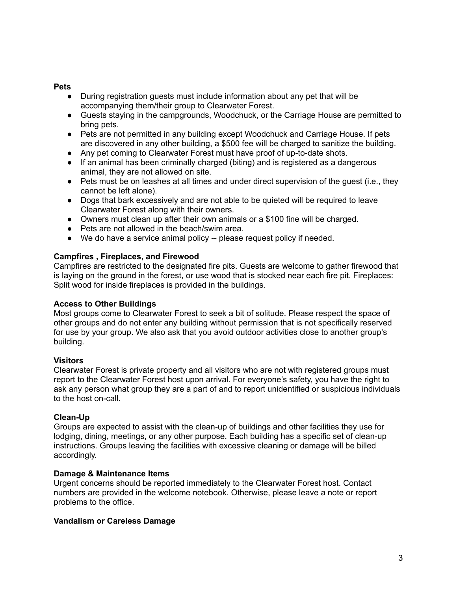#### **Pets**

- During registration guests must include information about any pet that will be accompanying them/their group to Clearwater Forest.
- Guests staying in the campgrounds, Woodchuck, or the Carriage House are permitted to bring pets.
- Pets are not permitted in any building except Woodchuck and Carriage House. If pets are discovered in any other building, a \$500 fee will be charged to sanitize the building.
- Any pet coming to Clearwater Forest must have proof of up-to-date shots.
- If an animal has been criminally charged (biting) and is registered as a dangerous animal, they are not allowed on site.
- Pets must be on leashes at all times and under direct supervision of the quest (i.e., they cannot be left alone).
- Dogs that bark excessively and are not able to be quieted will be required to leave Clearwater Forest along with their owners.
- Owners must clean up after their own animals or a \$100 fine will be charged.
- Pets are not allowed in the beach/swim area.
- We do have a service animal policy -- please request policy if needed.

#### **Campfires , Fireplaces, and Firewood**

Campfires are restricted to the designated fire pits. Guests are welcome to gather firewood that is laying on the ground in the forest, or use wood that is stocked near each fire pit. Fireplaces: Split wood for inside fireplaces is provided in the buildings.

#### **Access to Other Buildings**

Most groups come to Clearwater Forest to seek a bit of solitude. Please respect the space of other groups and do not enter any building without permission that is not specifically reserved for use by your group. We also ask that you avoid outdoor activities close to another group's building.

#### **Visitors**

Clearwater Forest is private property and all visitors who are not with registered groups must report to the Clearwater Forest host upon arrival. For everyone's safety, you have the right to ask any person what group they are a part of and to report unidentified or suspicious individuals to the host on-call.

## **Clean-Up**

Groups are expected to assist with the clean-up of buildings and other facilities they use for lodging, dining, meetings, or any other purpose. Each building has a specific set of clean-up instructions. Groups leaving the facilities with excessive cleaning or damage will be billed accordingly.

#### **Damage & Maintenance Items**

Urgent concerns should be reported immediately to the Clearwater Forest host. Contact numbers are provided in the welcome notebook. Otherwise, please leave a note or report problems to the office.

#### **Vandalism or Careless Damage**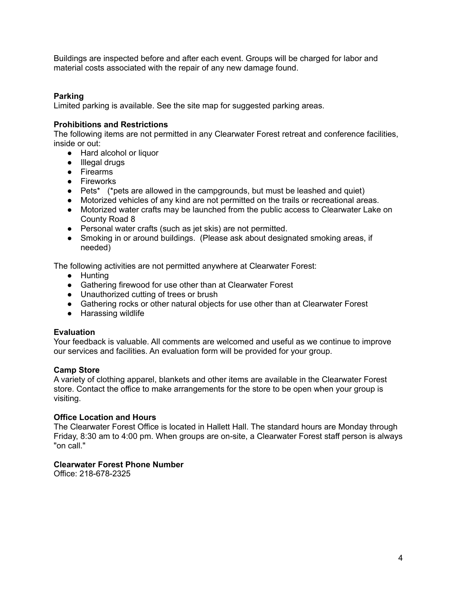Buildings are inspected before and after each event. Groups will be charged for labor and material costs associated with the repair of any new damage found.

## **Parking**

Limited parking is available. See the site map for suggested parking areas.

## **Prohibitions and Restrictions**

The following items are not permitted in any Clearwater Forest retreat and conference facilities, inside or out:

- Hard alcohol or liquor
- Illegal drugs
- Firearms
- Fireworks
- Pets<sup>\*</sup> (\*pets are allowed in the campgrounds, but must be leashed and quiet)
- Motorized vehicles of any kind are not permitted on the trails or recreational areas.
- Motorized water crafts may be launched from the public access to Clearwater Lake on County Road 8
- Personal water crafts (such as jet skis) are not permitted.
- Smoking in or around buildings. (Please ask about designated smoking areas, if needed)

The following activities are not permitted anywhere at Clearwater Forest:

- Hunting
- Gathering firewood for use other than at Clearwater Forest
- Unauthorized cutting of trees or brush
- Gathering rocks or other natural objects for use other than at Clearwater Forest
- Harassing wildlife

#### **Evaluation**

Your feedback is valuable. All comments are welcomed and useful as we continue to improve our services and facilities. An evaluation form will be provided for your group.

#### **Camp Store**

A variety of clothing apparel, blankets and other items are available in the Clearwater Forest store. Contact the office to make arrangements for the store to be open when your group is visiting.

#### **Office Location and Hours**

The Clearwater Forest Office is located in Hallett Hall. The standard hours are Monday through Friday, 8:30 am to 4:00 pm. When groups are on-site, a Clearwater Forest staff person is always "on call."

#### **Clearwater Forest Phone Number**

Office: 218-678-2325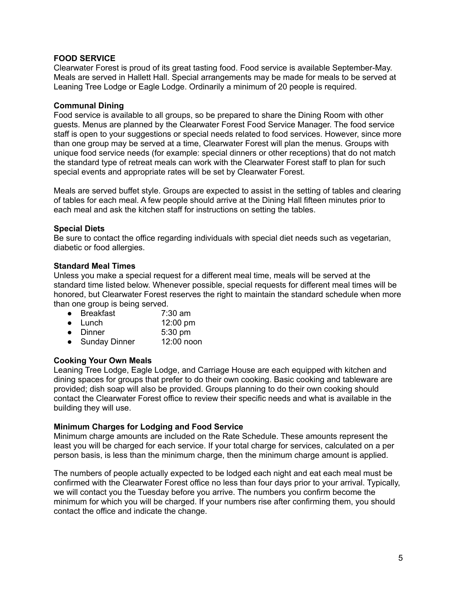## **FOOD SERVICE**

Clearwater Forest is proud of its great tasting food. Food service is available September-May. Meals are served in Hallett Hall. Special arrangements may be made for meals to be served at Leaning Tree Lodge or Eagle Lodge. Ordinarily a minimum of 20 people is required.

## **Communal Dining**

Food service is available to all groups, so be prepared to share the Dining Room with other guests. Menus are planned by the Clearwater Forest Food Service Manager. The food service staff is open to your suggestions or special needs related to food services. However, since more than one group may be served at a time, Clearwater Forest will plan the menus. Groups with unique food service needs (for example: special dinners or other receptions) that do not match the standard type of retreat meals can work with the Clearwater Forest staff to plan for such special events and appropriate rates will be set by Clearwater Forest.

Meals are served buffet style. Groups are expected to assist in the setting of tables and clearing of tables for each meal. A few people should arrive at the Dining Hall fifteen minutes prior to each meal and ask the kitchen staff for instructions on setting the tables.

## **Special Diets**

Be sure to contact the office regarding individuals with special diet needs such as vegetarian, diabetic or food allergies.

## **Standard Meal Times**

Unless you make a special request for a different meal time, meals will be served at the standard time listed below. Whenever possible, special requests for different meal times will be honored, but Clearwater Forest reserves the right to maintain the standard schedule when more than one group is being served.

- Breakfast 7:30 am
- Lunch 12:00 pm
- Dinner 5:30 pm
- Sunday Dinner 12:00 noon

## **Cooking Your Own Meals**

Leaning Tree Lodge, Eagle Lodge, and Carriage House are each equipped with kitchen and dining spaces for groups that prefer to do their own cooking. Basic cooking and tableware are provided; dish soap will also be provided. Groups planning to do their own cooking should contact the Clearwater Forest office to review their specific needs and what is available in the building they will use.

## **Minimum Charges for Lodging and Food Service**

Minimum charge amounts are included on the Rate Schedule. These amounts represent the least you will be charged for each service. If your total charge for services, calculated on a per person basis, is less than the minimum charge, then the minimum charge amount is applied.

The numbers of people actually expected to be lodged each night and eat each meal must be confirmed with the Clearwater Forest office no less than four days prior to your arrival. Typically, we will contact you the Tuesday before you arrive. The numbers you confirm become the minimum for which you will be charged. If your numbers rise after confirming them, you should contact the office and indicate the change.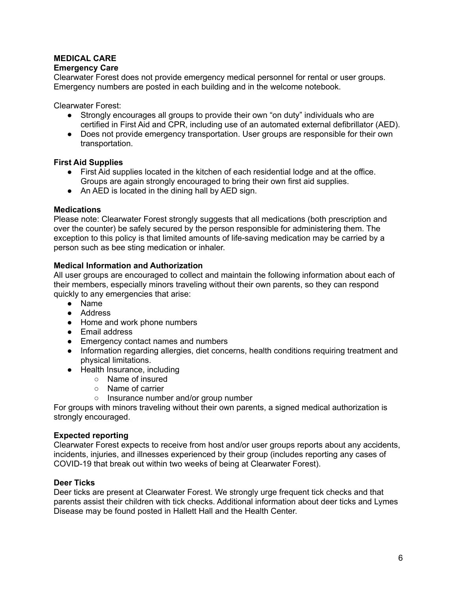# **MEDICAL CARE**

## **Emergency Care**

Clearwater Forest does not provide emergency medical personnel for rental or user groups. Emergency numbers are posted in each building and in the welcome notebook.

Clearwater Forest:

- Strongly encourages all groups to provide their own "on duty" individuals who are certified in First Aid and CPR, including use of an automated external defibrillator (AED).
- Does not provide emergency transportation. User groups are responsible for their own transportation.

#### **First Aid Supplies**

- First Aid supplies located in the kitchen of each residential lodge and at the office. Groups are again strongly encouraged to bring their own first aid supplies.
- An AED is located in the dining hall by AED sign.

#### **Medications**

Please note: Clearwater Forest strongly suggests that all medications (both prescription and over the counter) be safely secured by the person responsible for administering them. The exception to this policy is that limited amounts of life-saving medication may be carried by a person such as bee sting medication or inhaler.

#### **Medical Information and Authorization**

All user groups are encouraged to collect and maintain the following information about each of their members, especially minors traveling without their own parents, so they can respond quickly to any emergencies that arise:

- Name
- Address
- Home and work phone numbers
- Email address
- Emergency contact names and numbers
- Information regarding allergies, diet concerns, health conditions requiring treatment and physical limitations.
- Health Insurance, including
	- Name of insured
	- Name of carrier
	- Insurance number and/or group number

For groups with minors traveling without their own parents, a signed medical authorization is strongly encouraged.

## **Expected reporting**

Clearwater Forest expects to receive from host and/or user groups reports about any accidents, incidents, injuries, and illnesses experienced by their group (includes reporting any cases of COVID-19 that break out within two weeks of being at Clearwater Forest).

#### **Deer Ticks**

Deer ticks are present at Clearwater Forest. We strongly urge frequent tick checks and that parents assist their children with tick checks. Additional information about deer ticks and Lymes Disease may be found posted in Hallett Hall and the Health Center.